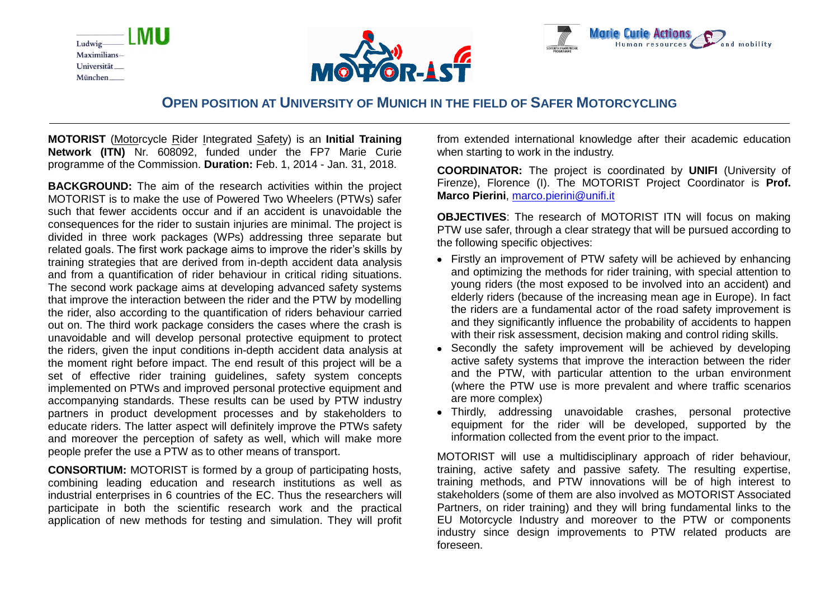





# **OPEN POSITION AT UNIVERSITY OF MUNICH IN THE FIELD OF SAFER MOTORCYCLING**

**MOTORIST** (Motorcycle Rider Integrated Safety) is an **Initial Training Network (ITN)** Nr. 608092, funded under the FP7 Marie Curie programme of the Commission. **Duration:** Feb. 1, 2014 - Jan. 31, 2018.

**BACKGROUND:** The aim of the research activities within the project MOTORIST is to make the use of Powered Two Wheelers (PTWs) safer such that fewer accidents occur and if an accident is unavoidable the consequences for the rider to sustain injuries are minimal. The project is divided in three work packages (WPs) addressing three separate but related goals. The first work package aims to improve the rider's skills by training strategies that are derived from in-depth accident data analysis and from a quantification of rider behaviour in critical riding situations. The second work package aims at developing advanced safety systems that improve the interaction between the rider and the PTW by modelling the rider, also according to the quantification of riders behaviour carried out on. The third work package considers the cases where the crash is unavoidable and will develop personal protective equipment to protect the riders, given the input conditions in-depth accident data analysis at the moment right before impact. The end result of this project will be a set of effective rider training quidelines, safety system concepts implemented on PTWs and improved personal protective equipment and accompanying standards. These results can be used by PTW industry partners in product development processes and by stakeholders to educate riders. The latter aspect will definitely improve the PTWs safety and moreover the perception of safety as well, which will make more people prefer the use a PTW as to other means of transport.

**CONSORTIUM:** MOTORIST is formed by a group of participating hosts, combining leading education and research institutions as well as industrial enterprises in 6 countries of the EC. Thus the researchers will participate in both the scientific research work and the practical application of new methods for testing and simulation. They will profit from extended international knowledge after their academic education when starting to work in the industry.

**COORDINATOR:** The project is coordinated by **UNIFI** (University of Firenze), Florence (I). The MOTORIST Project Coordinator is **Prof. Marco Pierini**, [marco.pierini@unifi.it](mailto:marco.pierini@unifi.it)

**OBJECTIVES**: The research of MOTORIST ITN will focus on making PTW use safer, through a clear strategy that will be pursued according to the following specific objectives:

- Firstly an improvement of PTW safety will be achieved by enhancing and optimizing the methods for rider training, with special attention to young riders (the most exposed to be involved into an accident) and elderly riders (because of the increasing mean age in Europe). In fact the riders are a fundamental actor of the road safety improvement is and they significantly influence the probability of accidents to happen with their risk assessment, decision making and control riding skills.
- Secondly the safety improvement will be achieved by developing active safety systems that improve the interaction between the rider and the PTW, with particular attention to the urban environment (where the PTW use is more prevalent and where traffic scenarios are more complex)
- Thirdly, addressing unavoidable crashes, personal protective equipment for the rider will be developed, supported by the information collected from the event prior to the impact.

MOTORIST will use a multidisciplinary approach of rider behaviour, training, active safety and passive safety. The resulting expertise, training methods, and PTW innovations will be of high interest to stakeholders (some of them are also involved as MOTORIST Associated Partners, on rider training) and they will bring fundamental links to the EU Motorcycle Industry and moreover to the PTW or components industry since design improvements to PTW related products are foreseen.